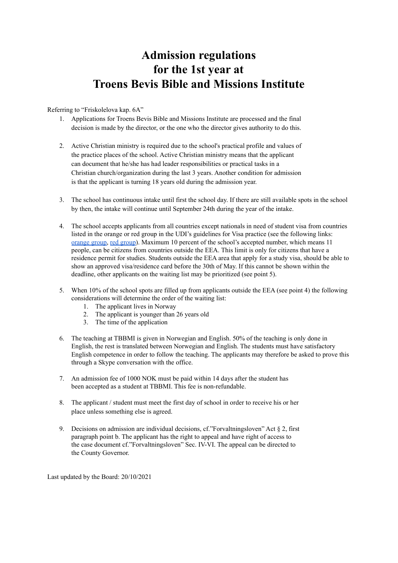## **Admission regulations for the 1st year at Troens Bevis Bible and Missions Institute**

## Referring to "Friskolelova kap. 6A"

- 1. Applications for Troens Bevis Bible and Missions Institute are processed and the final decision is made by the director, or the one who the director gives authority to do this.
- 2. Active Christian ministry is required due to the school's practical profile and values of the practice places of the school. Active Christian ministry means that the applicant can document that he/she has had leader responsibilities or practical tasks in a Christian church/organization during the last 3 years. Another condition for admission is that the applicant is turning 18 years old during the admission year.
- 3. The school has continuous intake until first the school day. If there are still available spots in the school by then, the intake will continue until September 24th during the year of the intake.
- 4. The school accepts applicants from all countries except nationals in need of student visa from countries listed in the orange or red group in the UDI's guidelines for Visa practice (see the following links: [orange](https://www.udiregelverk.no/en/documents/udi-guidelines/udi-2012-007/) group, red [group](https://www.udiregelverk.no/en/documents/udi-guidelines/udi-2012-008/)). Maximum 10 percent of the school's accepted number, which means 11 people, can be citizens from countries outside the EEA. This limit is only for citizens that have a residence permit for studies. Students outside the EEA area that apply for a study visa, should be able to show an approved visa/residence card before the 30th of May. If this cannot be shown within the deadline, other applicants on the waiting list may be prioritized (see point 5).
- 5. When 10% of the school spots are filled up from applicants outside the EEA (see point 4) the following considerations will determine the order of the waiting list:
	- 1. The applicant lives in Norway
	- 2. The applicant is younger than 26 years old
	- 3. The time of the application
- 6. The teaching at TBBMI is given in Norwegian and English. 50% of the teaching is only done in English, the rest is translated between Norwegian and English. The students must have satisfactory English competence in order to follow the teaching. The applicants may therefore be asked to prove this through a Skype conversation with the office.
- 7. An admission fee of 1000 NOK must be paid within 14 days after the student has been accepted as a student at TBBMI. This fee is non-refundable.
- 8. The applicant / student must meet the first day of school in order to receive his or her place unless something else is agreed.
- 9. Decisions on admission are individual decisions, cf. "Forvaltningsloven" Act  $\S$  2, first paragraph point b. The applicant has the right to appeal and have right of access to the case document cf."Forvaltningsloven" Sec. IV-VI. The appeal can be directed to the County Governor.

Last updated by the Board: 20/10/2021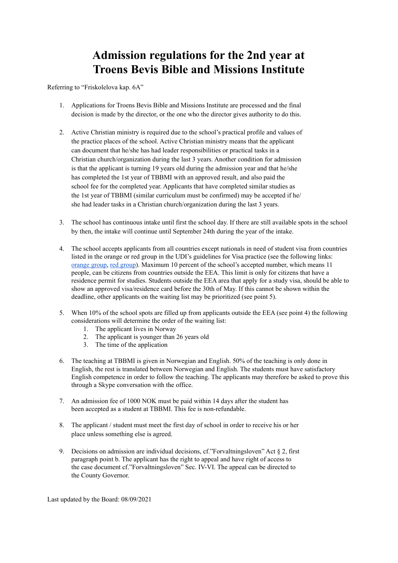## **Admission regulations for the 2nd year at Troens Bevis Bible and Missions Institute**

Referring to "Friskolelova kap. 6A"

- 1. Applications for Troens Bevis Bible and Missions Institute are processed and the final decision is made by the director, or the one who the director gives authority to do this.
- 2. Active Christian ministry is required due to the school's practical profile and values of the practice places of the school. Active Christian ministry means that the applicant can document that he/she has had leader responsibilities or practical tasks in a Christian church/organization during the last 3 years. Another condition for admission is that the applicant is turning 19 years old during the admission year and that he/she has completed the 1st year of TBBMI with an approved result, and also paid the school fee for the completed year. Applicants that have completed similar studies as the 1st year of TBBMI (similar curriculum must be confirmed) may be accepted if he/ she had leader tasks in a Christian church/organization during the last 3 years.
- 3. The school has continuous intake until first the school day. If there are still available spots in the school by then, the intake will continue until September 24th during the year of the intake.
- 4. The school accepts applicants from all countries except nationals in need of student visa from countries listed in the orange or red group in the UDI's guidelines for Visa practice (see the following links: [orange](https://www.udiregelverk.no/en/documents/udi-guidelines/udi-2012-007/) group, red [group](https://www.udiregelverk.no/en/documents/udi-guidelines/udi-2012-008/)). Maximum 10 percent of the school's accepted number, which means 11 people, can be citizens from countries outside the EEA. This limit is only for citizens that have a residence permit for studies. Students outside the EEA area that apply for a study visa, should be able to show an approved visa/residence card before the 30th of May. If this cannot be shown within the deadline, other applicants on the waiting list may be prioritized (see point 5).
- 5. When 10% of the school spots are filled up from applicants outside the EEA (see point 4) the following considerations will determine the order of the waiting list:
	- 1. The applicant lives in Norway
	- 2. The applicant is younger than 26 years old
	- 3. The time of the application
- 6. The teaching at TBBMI is given in Norwegian and English. 50% of the teaching is only done in English, the rest is translated between Norwegian and English. The students must have satisfactory English competence in order to follow the teaching. The applicants may therefore be asked to prove this through a Skype conversation with the office.
- 7. An admission fee of 1000 NOK must be paid within 14 days after the student has been accepted as a student at TBBMI. This fee is non-refundable.
- 8. The applicant / student must meet the first day of school in order to receive his or her place unless something else is agreed.
- 9. Decisions on admission are individual decisions, cf. "Forvaltningsloven" Act  $\S$  2, first paragraph point b. The applicant has the right to appeal and have right of access to the case document cf."Forvaltningsloven" Sec. IV-VI. The appeal can be directed to the County Governor.

Last updated by the Board: 08/09/2021